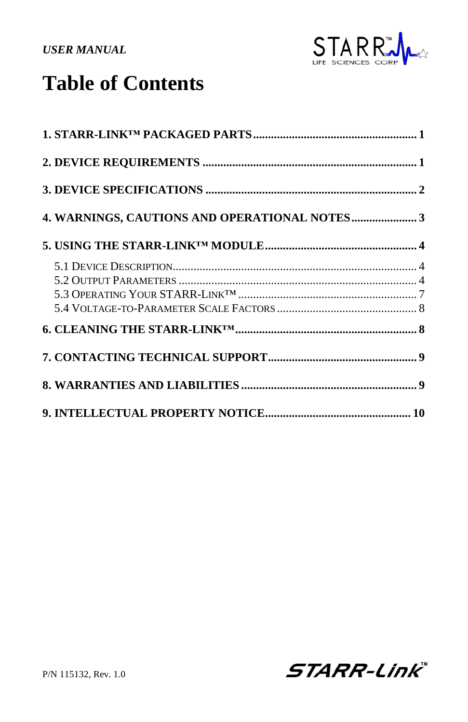

# **Table of Contents**

| 4. WARNINGS, CAUTIONS AND OPERATIONAL NOTES3 |  |
|----------------------------------------------|--|
|                                              |  |
|                                              |  |
|                                              |  |
|                                              |  |
|                                              |  |
|                                              |  |
|                                              |  |
|                                              |  |
|                                              |  |

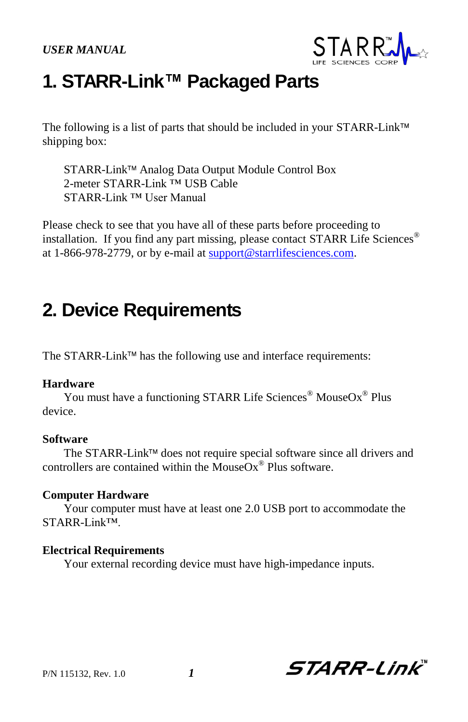

# **1. STARR-Link™ Packaged Parts**

The following is a list of parts that should be included in your STARR-Link™ shipping box:

STARR-Link™ Analog Data Output Module Control Box 2-meter STARR-Link ™ USB Cable STARR-Link ™ User Manual

Please check to see that you have all of these parts before proceeding to installation. If you find any part missing, please contact STARR Life Sciences® at 1-866-978-2779, or by e-mail a[t support@starrlifesciences.com.](mailto:support@starrlifesciences.com)

## **2. Device Requirements**

The STARR-Link<sup> $TM$ </sup> has the following use and interface requirements:

#### **Hardware**

You must have a functioning STARR Life Sciences<sup>®</sup> MouseOx<sup>®</sup> Plus device.

#### **Software**

The STARR-Link<sup>™</sup> does not require special software since all drivers and controllers are contained within the MouseOx® Plus software.

## **Computer Hardware**

Your computer must have at least one 2.0 USB port to accommodate the STARR-Link™.

## **Electrical Requirements**

Your external recording device must have high-impedance inputs.

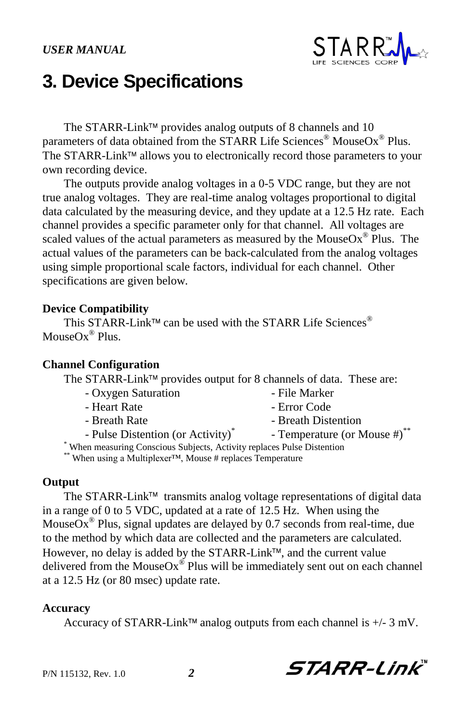

## **3. Device Specifications**

The STARR-Link<sup>™</sup> provides analog outputs of 8 channels and 10 parameters of data obtained from the STARR Life Sciences® MouseOx® Plus. The STARR-Link™ allows you to electronically record those parameters to your own recording device.

The outputs provide analog voltages in a 0-5 VDC range, but they are not true analog voltages. They are real-time analog voltages proportional to digital data calculated by the measuring device, and they update at a 12.5 Hz rate. Each channel provides a specific parameter only for that channel. All voltages are scaled values of the actual parameters as measured by the MouseOx® Plus. The actual values of the parameters can be back-calculated from the analog voltages using simple proportional scale factors, individual for each channel. Other specifications are given below.

## **Device Compatibility**

This STARR-Link<sup>™</sup> can be used with the STARR Life Sciences<sup>®</sup> MouseOx<sup>®</sup> Plus.

#### **Channel Configuration**

The STARR-Link™ provides output for 8 channels of data. These are:

- Oxygen Saturation File Marker
- 
- 
- Pulse Distention (or Activity)\*
- 
- Heart Rate  **Error Code**
- Breath Rate  **Breath Distention** 
	- Temperature (or Mouse #)\*\*

**STARR-Link** 

- \* When measuring Conscious Subjects, Activity replaces Pulse Distention
- \*\* When using a Multiplexer™, Mouse # replaces Temperature

## **Output**

The STARR-Link<sup>TM</sup> transmits analog voltage representations of digital data in a range of 0 to 5 VDC, updated at a rate of 12.5 Hz. When using the MouseOx<sup>®</sup> Plus, signal updates are delayed by 0.7 seconds from real-time, due to the method by which data are collected and the parameters are calculated. However, no delay is added by the STARR-Link<sup>TM</sup>, and the current value delivered from the MouseOx<sup>®</sup> Plus will be immediately sent out on each channel at a 12.5 Hz (or 80 msec) update rate.

#### **Accuracy**

Accuracy of STARR-Link<sup>™</sup> analog outputs from each channel is  $+/- 3$  mV.

P/N 115132, Rev. 1.0 *2*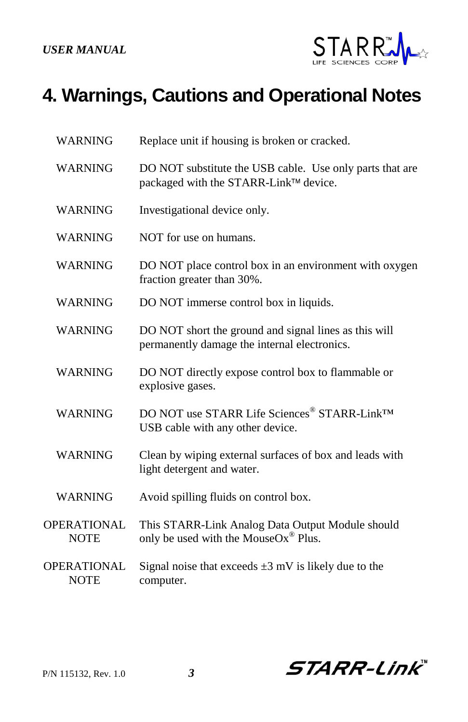

# **4. Warnings, Cautions and Operational Notes**

| <b>WARNING</b>                    | Replace unit if housing is broken or cracked.                                                         |
|-----------------------------------|-------------------------------------------------------------------------------------------------------|
| <b>WARNING</b>                    | DO NOT substitute the USB cable. Use only parts that are<br>packaged with the STARR-Link™ device.     |
| <b>WARNING</b>                    | Investigational device only.                                                                          |
| <b>WARNING</b>                    | NOT for use on humans.                                                                                |
| <b>WARNING</b>                    | DO NOT place control box in an environment with oxygen<br>fraction greater than 30%.                  |
| <b>WARNING</b>                    | DO NOT immerse control box in liquids.                                                                |
| <b>WARNING</b>                    | DO NOT short the ground and signal lines as this will<br>permanently damage the internal electronics. |
| <b>WARNING</b>                    | DO NOT directly expose control box to flammable or<br>explosive gases.                                |
| <b>WARNING</b>                    | DO NOT use STARR Life Sciences® STARR-Link <sup>TM</sup><br>USB cable with any other device.          |
| <b>WARNING</b>                    | Clean by wiping external surfaces of box and leads with<br>light detergent and water.                 |
| <b>WARNING</b>                    | Avoid spilling fluids on control box.                                                                 |
| <b>OPERATIONAL</b><br><b>NOTE</b> | This STARR-Link Analog Data Output Module should<br>only be used with the MouseOx <sup>®</sup> Plus.  |
| <b>OPERATIONAL</b><br><b>NOTE</b> | Signal noise that exceeds $\pm 3$ mV is likely due to the<br>computer.                                |

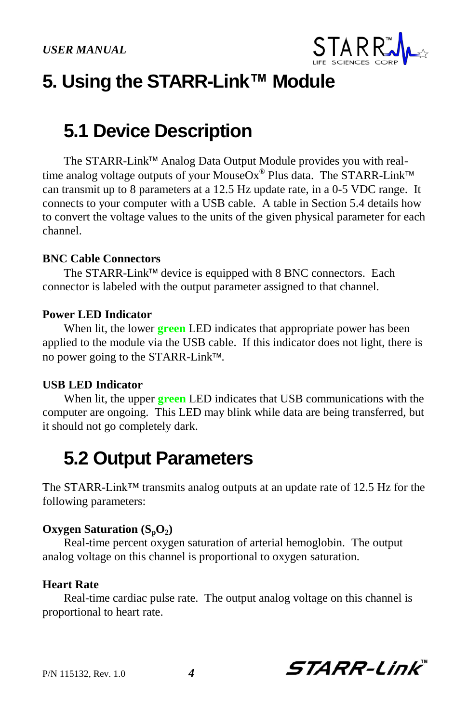

# **5. Using the STARR-Link™ Module**

## **5.1 Device Description**

The STARR-Link<sup>™</sup> Analog Data Output Module provides you with realtime analog voltage outputs of your MouseOx $^{\circledR}$  Plus data. The STARR-Link can transmit up to 8 parameters at a 12.5 Hz update rate, in a 0-5 VDC range. It connects to your computer with a USB cable. A table in Section 5.4 details how to convert the voltage values to the units of the given physical parameter for each channel.

#### **BNC Cable Connectors**

The STARR-Link<sup>TM</sup> device is equipped with 8 BNC connectors. Each connector is labeled with the output parameter assigned to that channel.

#### **Power LED Indicator**

When lit, the lower **green** LED indicates that appropriate power has been applied to the module via the USB cable. If this indicator does not light, there is no power going to the STARR-Link<sup>™</sup>.

### **USB LED Indicator**

When lit, the upper **green** LED indicates that USB communications with the computer are ongoing. This LED may blink while data are being transferred, but it should not go completely dark.

## **5.2 Output Parameters**

The STARR-Link™ transmits analog outputs at an update rate of 12.5 Hz for the following parameters:

#### **Oxygen Saturation (SpO2)**

Real-time percent oxygen saturation of arterial hemoglobin. The output analog voltage on this channel is proportional to oxygen saturation.

### **Heart Rate**

Real-time cardiac pulse rate. The output analog voltage on this channel is proportional to heart rate.

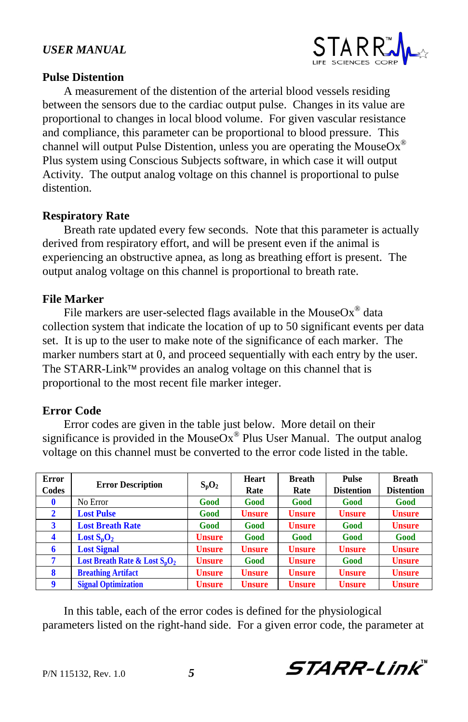

## **Pulse Distention**

A measurement of the distention of the arterial blood vessels residing between the sensors due to the cardiac output pulse. Changes in its value are proportional to changes in local blood volume. For given vascular resistance and compliance, this parameter can be proportional to blood pressure. This channel will output Pulse Distention, unless you are operating the Mouse $\mathrm{Ox}^{\circledast}$ Plus system using Conscious Subjects software, in which case it will output Activity. The output analog voltage on this channel is proportional to pulse distention.

## **Respiratory Rate**

Breath rate updated every few seconds. Note that this parameter is actually derived from respiratory effort, and will be present even if the animal is experiencing an obstructive apnea, as long as breathing effort is present. The output analog voltage on this channel is proportional to breath rate.

## **File Marker**

File markers are user-selected flags available in the MouseOx<sup>®</sup> data collection system that indicate the location of up to 50 significant events per data set. It is up to the user to make note of the significance of each marker. The marker numbers start at 0, and proceed sequentially with each entry by the user. The STARR-Link<sup> $\text{TM}$ </sup> provides an analog voltage on this channel that is proportional to the most recent file marker integer.

## **Error Code**

Error codes are given in the table just below. More detail on their significance is provided in the MouseOx® Plus User Manual. The output analog voltage on this channel must be converted to the error code listed in the table.

| Error<br>Codes | <b>Error Description</b>         | $S_pO_2$      | Heart<br>Rate | <b>Breath</b><br>Rate | Pulse<br><b>Distention</b> | <b>Breath</b><br><b>Distention</b> |
|----------------|----------------------------------|---------------|---------------|-----------------------|----------------------------|------------------------------------|
|                | No Error                         | Good          | Good          | Good                  | Good                       | Good                               |
| $\mathbf{2}$   | <b>Lost Pulse</b>                | Good          | <b>Unsure</b> | <b>Unsure</b>         | <b>Unsure</b>              | <b>Unsure</b>                      |
| 3              | <b>Lost Breath Rate</b>          | Good          | Good          | <b>Unsure</b>         | Good                       | <b>Unsure</b>                      |
| 4              | Lost $S_nO_2$                    | <b>Unsure</b> | Good          | Good                  | Good                       | Good                               |
| 6              | <b>Lost Signal</b>               | <b>Unsure</b> | <b>Unsure</b> | <b>Unsure</b>         | <b>Unsure</b>              | <b>Unsure</b>                      |
|                | Lost Breath Rate & Lost $S_nO_2$ | <b>Unsure</b> | Good          | <b>Unsure</b>         | Good                       | <b>Unsure</b>                      |
| 8              | <b>Breathing Artifact</b>        | <b>Unsure</b> | <b>Unsure</b> | <b>Unsure</b>         | <b>Unsure</b>              | <b>Unsure</b>                      |
| 9              | <b>Signal Optimization</b>       | <b>Unsure</b> | <b>Unsure</b> | <b>Unsure</b>         | <b>Unsure</b>              | <b>Unsure</b>                      |

In this table, each of the error codes is defined for the physiological parameters listed on the right-hand side. For a given error code, the parameter at

**STARR-Link**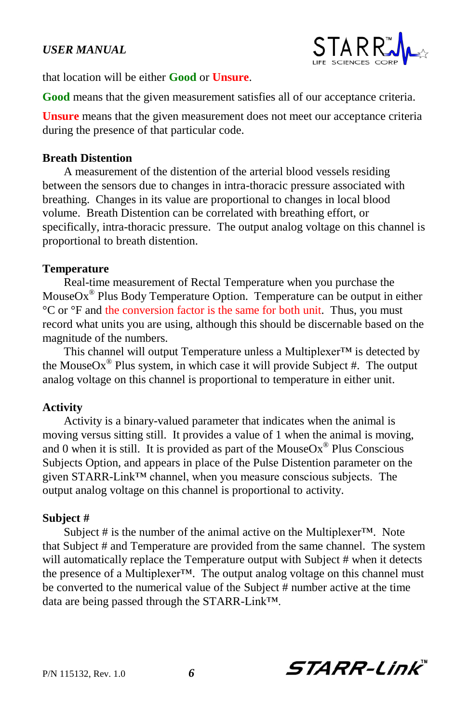

that location will be either **Good** or **Unsure**.

**Good** means that the given measurement satisfies all of our acceptance criteria.

**Unsure** means that the given measurement does not meet our acceptance criteria during the presence of that particular code.

#### **Breath Distention**

A measurement of the distention of the arterial blood vessels residing between the sensors due to changes in intra-thoracic pressure associated with breathing. Changes in its value are proportional to changes in local blood volume. Breath Distention can be correlated with breathing effort, or specifically, intra-thoracic pressure. The output analog voltage on this channel is proportional to breath distention.

#### **Temperature**

Real-time measurement of Rectal Temperature when you purchase the Mouse $Ox^{\circledast}$  Plus Body Temperature Option. Temperature can be output in either °C or °F and the conversion factor is the same for both unit. Thus, you must record what units you are using, although this should be discernable based on the magnitude of the numbers.

This channel will output Temperature unless a Multiplexer™ is detected by the MouseOx<sup>®</sup> Plus system, in which case it will provide Subject #. The output analog voltage on this channel is proportional to temperature in either unit.

### **Activity**

Activity is a binary-valued parameter that indicates when the animal is moving versus sitting still. It provides a value of 1 when the animal is moving, and 0 when it is still. It is provided as part of the MouseOx<sup>®</sup> Plus Conscious Subjects Option, and appears in place of the Pulse Distention parameter on the given STARR-Link™ channel, when you measure conscious subjects. The output analog voltage on this channel is proportional to activity.

#### **Subject #**

Subject # is the number of the animal active on the Multiplexer<sup>TM</sup>. Note that Subject # and Temperature are provided from the same channel. The system will automatically replace the Temperature output with Subject # when it detects the presence of a Multiplexer™. The output analog voltage on this channel must be converted to the numerical value of the Subject # number active at the time data are being passed through the STARR-Link™.

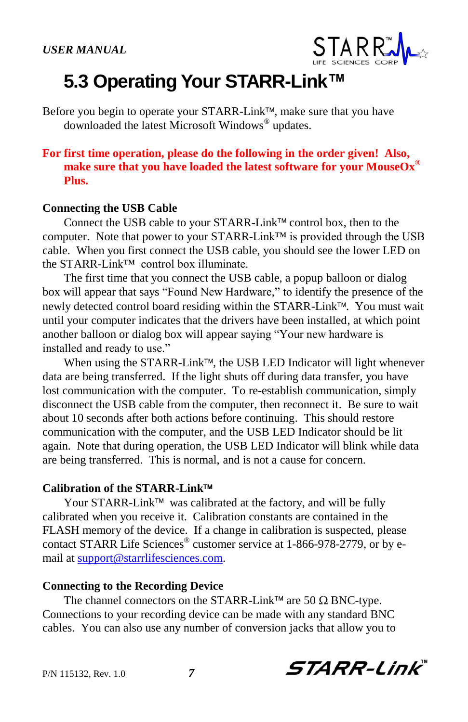

# **5.3 Operating Your STARR-Link™**

Before you begin to operate your STARR-Link<sup>™</sup>, make sure that you have downloaded the latest Microsoft Windows® updates.

## **For first time operation, please do the following in the order given! Also, make sure that you have loaded the latest software for your MouseOx® Plus.**

### **Connecting the USB Cable**

Connect the USB cable to your STARR-Link<sup>™</sup> control box, then to the computer. Note that power to your STARR-Link™ is provided through the USB cable. When you first connect the USB cable, you should see the lower LED on the STARR-Link™ control box illuminate.

The first time that you connect the USB cable, a popup balloon or dialog box will appear that says "Found New Hardware," to identify the presence of the newly detected control board residing within the STARR-Link™. You must wait until your computer indicates that the drivers have been installed, at which point another balloon or dialog box will appear saying "Your new hardware is installed and ready to use."

When using the STARR-Link<sup>™</sup>, the USB LED Indicator will light whenever data are being transferred. If the light shuts off during data transfer, you have lost communication with the computer. To re-establish communication, simply disconnect the USB cable from the computer, then reconnect it. Be sure to wait about 10 seconds after both actions before continuing. This should restore communication with the computer, and the USB LED Indicator should be lit again. Note that during operation, the USB LED Indicator will blink while data are being transferred. This is normal, and is not a cause for concern.

#### **Calibration of the STARR-Link**

Your STARR-Link<sup>™</sup> was calibrated at the factory, and will be fully calibrated when you receive it. Calibration constants are contained in the FLASH memory of the device. If a change in calibration is suspected, please contact STARR Life Sciences® customer service at 1-866-978-2779, or by email a[t support@starrlifesciences.com.](mailto:support@starrlifesciences.com)

### **Connecting to the Recording Device**

The channel connectors on the STARR-Link<sup>™</sup> are 50  $\Omega$  BNC-type. Connections to your recording device can be made with any standard BNC cables. You can also use any number of conversion jacks that allow you to

P/N 115132, Rev. 1.0 *7*

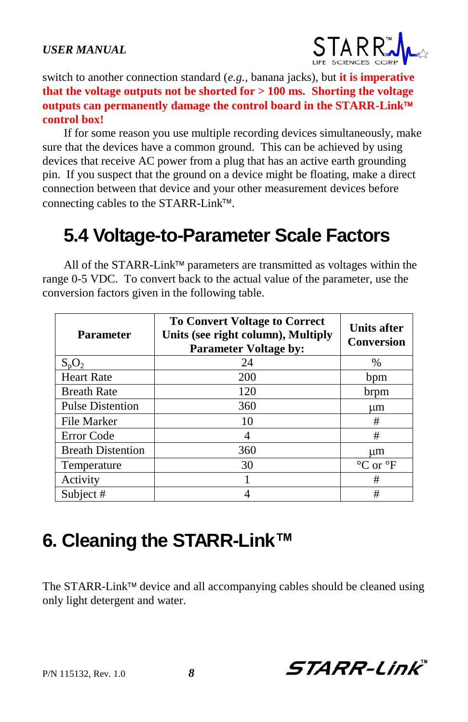

switch to another connection standard (*e.g.,* banana jacks), but **it is imperative that the voltage outputs not be shorted for > 100 ms. Shorting the voltage outputs can permanently damage the control board in the STARR-Link control box!**

If for some reason you use multiple recording devices simultaneously, make sure that the devices have a common ground. This can be achieved by using devices that receive AC power from a plug that has an active earth grounding pin. If you suspect that the ground on a device might be floating, make a direct connection between that device and your other measurement devices before connecting cables to the STARR-Link<sup>™</sup>.

# **5.4 Voltage-to-Parameter Scale Factors**

All of the STARR-Link<sup>™</sup> parameters are transmitted as voltages within the range 0-5 VDC. To convert back to the actual value of the parameter, use the conversion factors given in the following table.

| <b>Parameter</b>         | <b>To Convert Voltage to Correct</b><br>Units (see right column), Multiply<br><b>Parameter Voltage by:</b> | <b>Units after</b><br><b>Conversion</b> |
|--------------------------|------------------------------------------------------------------------------------------------------------|-----------------------------------------|
| $S_pO_2$                 | 24                                                                                                         | $\%$                                    |
| <b>Heart Rate</b>        | 200                                                                                                        | bpm                                     |
| <b>Breath Rate</b>       | 120                                                                                                        | brpm                                    |
| <b>Pulse Distention</b>  | 360                                                                                                        | μm                                      |
| File Marker              | 10                                                                                                         | #                                       |
| Error Code               | 4                                                                                                          | #                                       |
| <b>Breath Distention</b> | 360                                                                                                        | um                                      |
| Temperature              | 30                                                                                                         | $\rm ^{\circ}C$ or $\rm ^{\circ}F$      |
| Activity                 |                                                                                                            | #                                       |
| Subject #                |                                                                                                            | #                                       |

# **6. Cleaning the STARR-Link™**

The STARR-Link<sup> $M$ </sup> device and all accompanying cables should be cleaned using only light detergent and water.

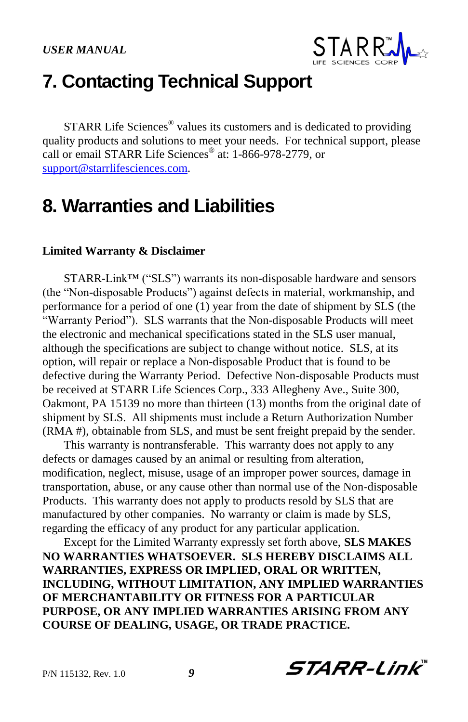

## **7. Contacting Technical Support**

STARR Life Sciences<sup>®</sup> values its customers and is dedicated to providing quality products and solutions to meet your needs. For technical support, please call or email STARR Life Sciences® at: 1-866-978-2779, or [support@starrlifesciences.com.](mailto:support@starrlifesciences.com)

## **8. Warranties and Liabilities**

#### **Limited Warranty & Disclaimer**

STARR-Link™ ("SLS") warrants its non-disposable hardware and sensors (the "Non-disposable Products") against defects in material, workmanship, and performance for a period of one (1) year from the date of shipment by SLS (the "Warranty Period"). SLS warrants that the Non-disposable Products will meet the electronic and mechanical specifications stated in the SLS user manual, although the specifications are subject to change without notice. SLS, at its option, will repair or replace a Non-disposable Product that is found to be defective during the Warranty Period. Defective Non-disposable Products must be received at STARR Life Sciences Corp., 333 Allegheny Ave., Suite 300, Oakmont, PA 15139 no more than thirteen (13) months from the original date of shipment by SLS. All shipments must include a Return Authorization Number (RMA #), obtainable from SLS, and must be sent freight prepaid by the sender.

This warranty is nontransferable. This warranty does not apply to any defects or damages caused by an animal or resulting from alteration, modification, neglect, misuse, usage of an improper power sources, damage in transportation, abuse, or any cause other than normal use of the Non-disposable Products. This warranty does not apply to products resold by SLS that are manufactured by other companies. No warranty or claim is made by SLS, regarding the efficacy of any product for any particular application.

Except for the Limited Warranty expressly set forth above, **SLS MAKES NO WARRANTIES WHATSOEVER. SLS HEREBY DISCLAIMS ALL WARRANTIES, EXPRESS OR IMPLIED, ORAL OR WRITTEN, INCLUDING, WITHOUT LIMITATION, ANY IMPLIED WARRANTIES OF MERCHANTABILITY OR FITNESS FOR A PARTICULAR PURPOSE, OR ANY IMPLIED WARRANTIES ARISING FROM ANY COURSE OF DEALING, USAGE, OR TRADE PRACTICE.**

P/N 115132, Rev. 1.0 *9*

**STARR-Link**